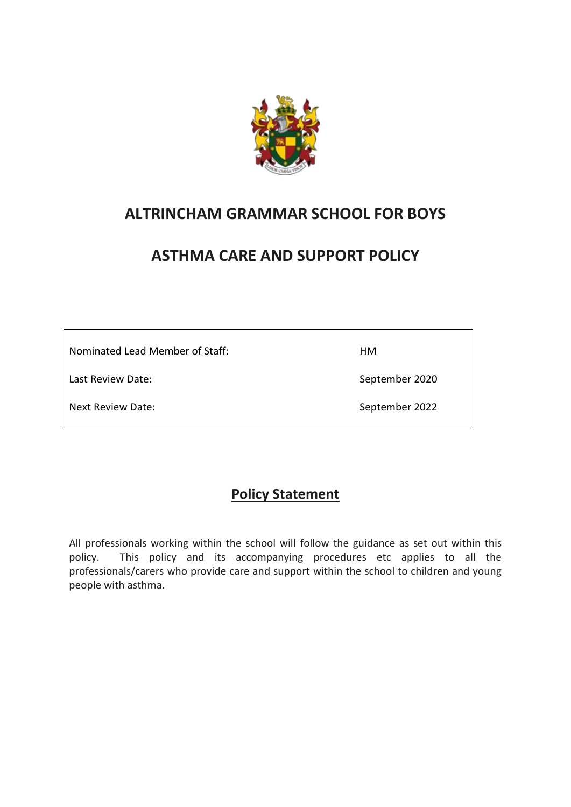

# **ALTRINCHAM GRAMMAR SCHOOL FOR BOYS**

# **ASTHMA CARE AND SUPPORT POLICY**

 $\overline{\phantom{0}}$ 

| Nominated Lead Member of Staff: | HМ             |
|---------------------------------|----------------|
| Last Review Date:               | September 2020 |
| Next Review Date:               | September 2022 |

 $\Gamma$ 

# **Policy Statement**

All professionals working within the school will follow the guidance as set out within this policy. This policy and its accompanying procedures etc applies to all the professionals/carers who provide care and support within the school to children and young people with asthma.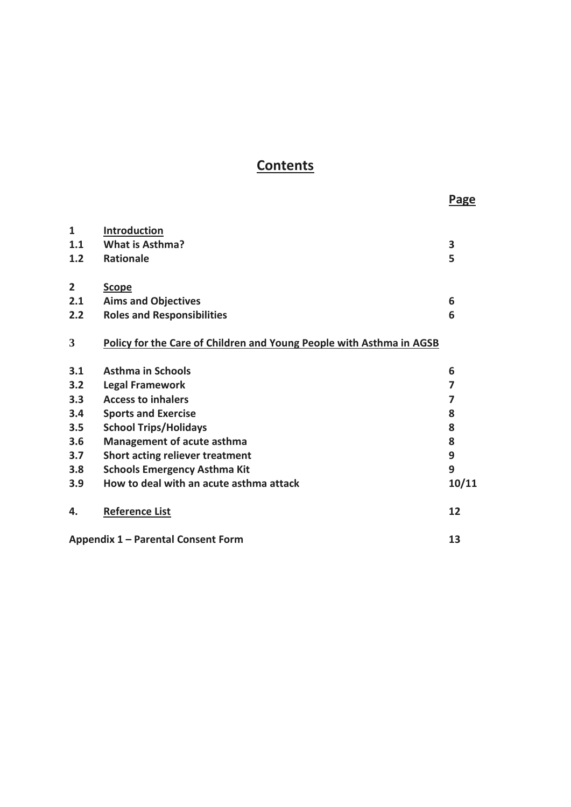# **Contents**

|                |                                                                      | <b>Page</b> |
|----------------|----------------------------------------------------------------------|-------------|
| $\mathbf{1}$   | Introduction                                                         |             |
| 1.1            | <b>What is Asthma?</b>                                               | 3           |
| 1.2            | <b>Rationale</b>                                                     | 5           |
| $\overline{2}$ | <b>Scope</b>                                                         |             |
| 2.1            | <b>Aims and Objectives</b>                                           | 6           |
| 2.2            | <b>Roles and Responsibilities</b>                                    | 6           |
| 3              | Policy for the Care of Children and Young People with Asthma in AGSB |             |
| 3.1            | <b>Asthma in Schools</b>                                             | 6           |
| 3.2            | <b>Legal Framework</b>                                               | 7           |
| 3.3            | <b>Access to inhalers</b>                                            | 7           |
| 3.4            | <b>Sports and Exercise</b>                                           | 8           |
| 3.5            | <b>School Trips/Holidays</b>                                         | 8           |
| 3.6            | Management of acute asthma                                           | 8           |
| 3.7            | Short acting reliever treatment                                      | 9           |
| 3.8            | <b>Schools Emergency Asthma Kit</b>                                  | 9           |
| 3.9            | How to deal with an acute asthma attack                              | 10/11       |
| 4.             | <b>Reference List</b>                                                | 12          |
|                | Appendix 1 - Parental Consent Form                                   | 13          |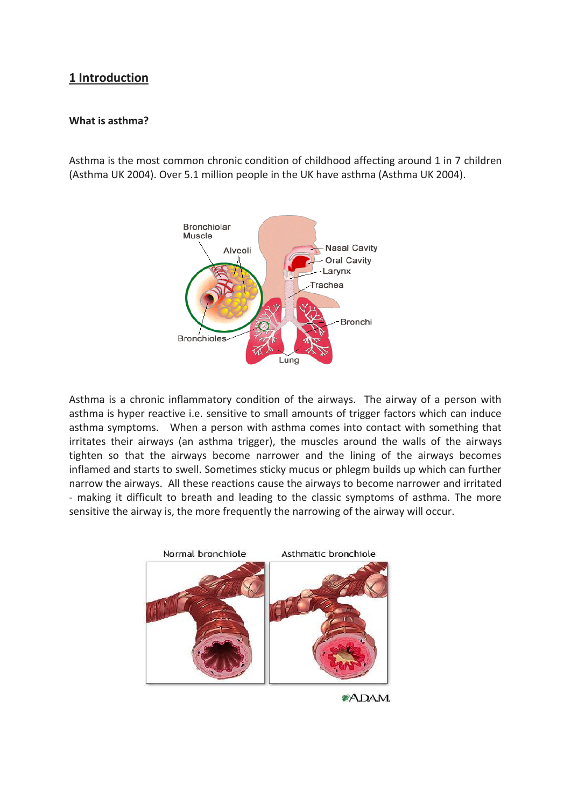# **1 Introduction**

#### **What is asthma?**

Asthma is the most common chronic condition of childhood affecting around 1 in 7 children (Asthma UK 2004). Over 5.1 million people in the UK have asthma (Asthma UK 2004).



Asthma is a chronic inflammatory condition of the airways. The airway of a person with asthma is hyper reactive i.e. sensitive to small amounts of trigger factors which can induce asthma symptoms. When a person with asthma comes into contact with something that irritates their airways (an asthma trigger), the muscles around the walls of the airways tighten so that the airways become narrower and the lining of the airways becomes inflamed and starts to swell. Sometimes sticky mucus or phlegm builds up which can further narrow the airways. All these reactions cause the airways to become narrower and irritated - making it difficult to breath and leading to the classic symptoms of asthma. The more sensitive the airway is, the more frequently the narrowing of the airway will occur.



\*ADAM.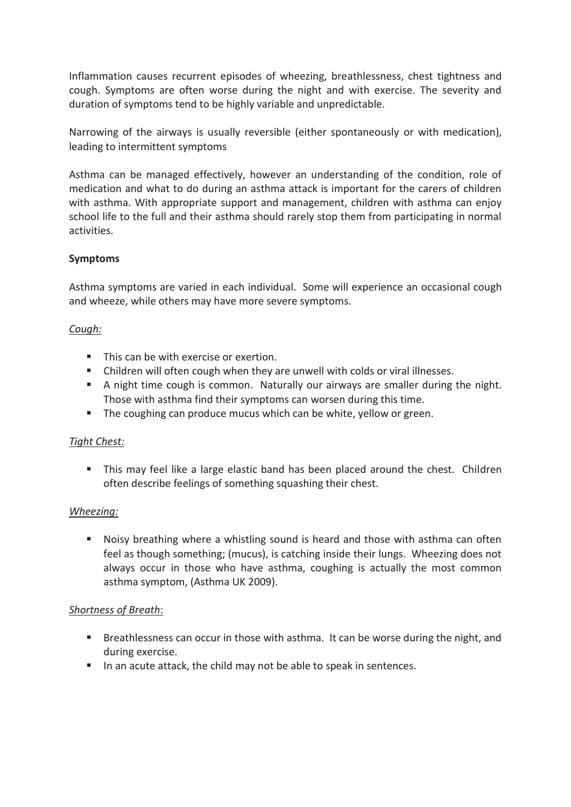Inflammation causes recurrent episodes of wheezing, breathlessness, chest tightness and cough. Symptoms are often worse during the night and with exercise. The severity and duration of symptoms tend to be highly variable and unpredictable.

Narrowing of the airways is usually reversible (either spontaneously or with medication), leading to intermittent symptoms

Asthma can be managed effectively, however an understanding of the condition, role of medication and what to do during an asthma attack is important for the carers of children with asthma. With appropriate support and management, children with asthma can enjoy school life to the full and their asthma should rarely stop them from participating in normal activities.

## **Symptoms**

Asthma symptoms are varied in each individual. Some will experience an occasional cough and wheeze, while others may have more severe symptoms.

## *Cough:*

- This can be with exercise or exertion.
- Children will often cough when they are unwell with colds or viral illnesses.
- A night time cough is common. Naturally our airways are smaller during the night. Those with asthma find their symptoms can worsen during this time.
- The coughing can produce mucus which can be white, yellow or green.

## *Tight Chest:*

**This may feel like a large elastic band has been placed around the chest. Children** often describe feelings of something squashing their chest.

## *Wheezing:*

■ Noisy breathing where a whistling sound is heard and those with asthma can often feel as though something; (mucus), is catching inside their lungs. Wheezing does not always occur in those who have asthma, coughing is actually the most common asthma symptom, (Asthma UK 2009).

## *Shortness of Breath*:

- Breathlessness can occur in those with asthma. It can be worse during the night, and during exercise.
- In an acute attack, the child may not be able to speak in sentences.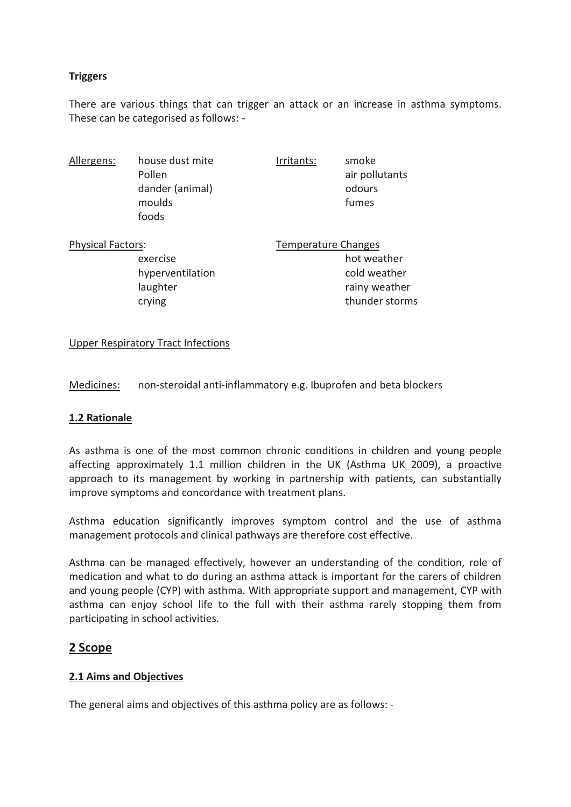## **Triggers**

There are various things that can trigger an attack or an increase in asthma symptoms. These can be categorised as follows: -

| Allergens: | house dust mite | Irritants: | smoke          |
|------------|-----------------|------------|----------------|
|            | Pollen          |            | air pollutants |
|            | dander (animal) |            | odours         |
|            | moulds          |            | fumes          |
|            | foods           |            |                |
|            |                 |            |                |

| <b>Physical Factors:</b> | Temperature Changes |  |
|--------------------------|---------------------|--|
| exercise                 | hot weather         |  |
| hyperventilation         | cold weather        |  |
| laughter                 | rainy weather       |  |
| crying                   | thunder storms      |  |

#### Upper Respiratory Tract Infections

Medicines: non-steroidal anti-inflammatory e.g. Ibuprofen and beta blockers

#### **1.2 Rationale**

As asthma is one of the most common chronic conditions in children and young people affecting approximately 1.1 million children in the UK (Asthma UK 2009), a proactive approach to its management by working in partnership with patients, can substantially improve symptoms and concordance with treatment plans.

Asthma education significantly improves symptom control and the use of asthma management protocols and clinical pathways are therefore cost effective.

Asthma can be managed effectively, however an understanding of the condition, role of medication and what to do during an asthma attack is important for the carers of children and young people (CYP) with asthma. With appropriate support and management, CYP with asthma can enjoy school life to the full with their asthma rarely stopping them from participating in school activities.

## **2 Scope**

## **2.1 Aims and Objectives**

The general aims and objectives of this asthma policy are as follows: -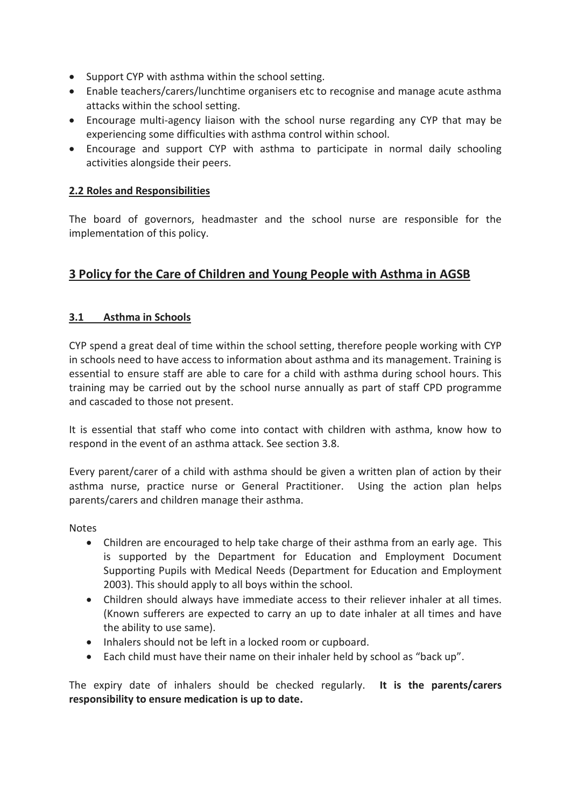- Support CYP with asthma within the school setting.
- Enable teachers/carers/lunchtime organisers etc to recognise and manage acute asthma attacks within the school setting.
- Encourage multi-agency liaison with the school nurse regarding any CYP that may be experiencing some difficulties with asthma control within school.
- Encourage and support CYP with asthma to participate in normal daily schooling activities alongside their peers.

## **2.2 Roles and Responsibilities**

The board of governors, headmaster and the school nurse are responsible for the implementation of this policy.

# **3 Policy for the Care of Children and Young People with Asthma in AGSB**

## **3.1 Asthma in Schools**

CYP spend a great deal of time within the school setting, therefore people working with CYP in schools need to have access to information about asthma and its management. Training is essential to ensure staff are able to care for a child with asthma during school hours. This training may be carried out by the school nurse annually as part of staff CPD programme and cascaded to those not present.

It is essential that staff who come into contact with children with asthma, know how to respond in the event of an asthma attack. See section 3.8.

Every parent/carer of a child with asthma should be given a written plan of action by their asthma nurse, practice nurse or General Practitioner. Using the action plan helps parents/carers and children manage their asthma.

Notes

- Children are encouraged to help take charge of their asthma from an early age. This is supported by the Department for Education and Employment Document Supporting Pupils with Medical Needs (Department for Education and Employment 2003). This should apply to all boys within the school.
- Children should always have immediate access to their reliever inhaler at all times. (Known sufferers are expected to carry an up to date inhaler at all times and have the ability to use same).
- Inhalers should not be left in a locked room or cupboard.
- Each child must have their name on their inhaler held by school as "back up".

The expiry date of inhalers should be checked regularly. **It is the parents/carers responsibility to ensure medication is up to date.**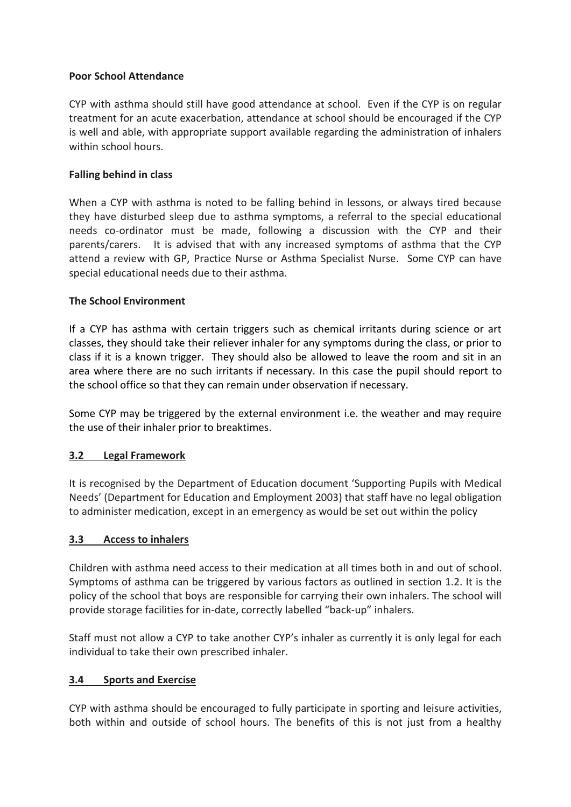#### **Poor School Attendance**

CYP with asthma should still have good attendance at school. Even if the CYP is on regular treatment for an acute exacerbation, attendance at school should be encouraged if the CYP is well and able, with appropriate support available regarding the administration of inhalers within school hours.

#### **Falling behind in class**

When a CYP with asthma is noted to be falling behind in lessons, or always tired because they have disturbed sleep due to asthma symptoms, a referral to the special educational needs co-ordinator must be made, following a discussion with the CYP and their parents/carers. It is advised that with any increased symptoms of asthma that the CYP attend a review with GP, Practice Nurse or Asthma Specialist Nurse. Some CYP can have special educational needs due to their asthma.

#### **The School Environment**

If a CYP has asthma with certain triggers such as chemical irritants during science or art classes, they should take their reliever inhaler for any symptoms during the class, or prior to class if it is a known trigger. They should also be allowed to leave the room and sit in an area where there are no such irritants if necessary. In this case the pupil should report to the school office so that they can remain under observation if necessary.

Some CYP may be triggered by the external environment i.e. the weather and may require the use of their inhaler prior to breaktimes.

#### **3.2 Legal Framework**

It is recognised by the Department of Education document 'Supporting Pupils with Medical Needs' (Department for Education and Employment 2003) that staff have no legal obligation to administer medication, except in an emergency as would be set out within the policy

#### **3.3 Access to inhalers**

Children with asthma need access to their medication at all times both in and out of school. Symptoms of asthma can be triggered by various factors as outlined in section 1.2. It is the policy of the school that boys are responsible for carrying their own inhalers. The school will provide storage facilities for in-date, correctly labelled "back-up" inhalers.

Staff must not allow a CYP to take another CYP's inhaler as currently it is only legal for each individual to take their own prescribed inhaler.

#### **3.4 Sports and Exercise**

CYP with asthma should be encouraged to fully participate in sporting and leisure activities, both within and outside of school hours. The benefits of this is not just from a healthy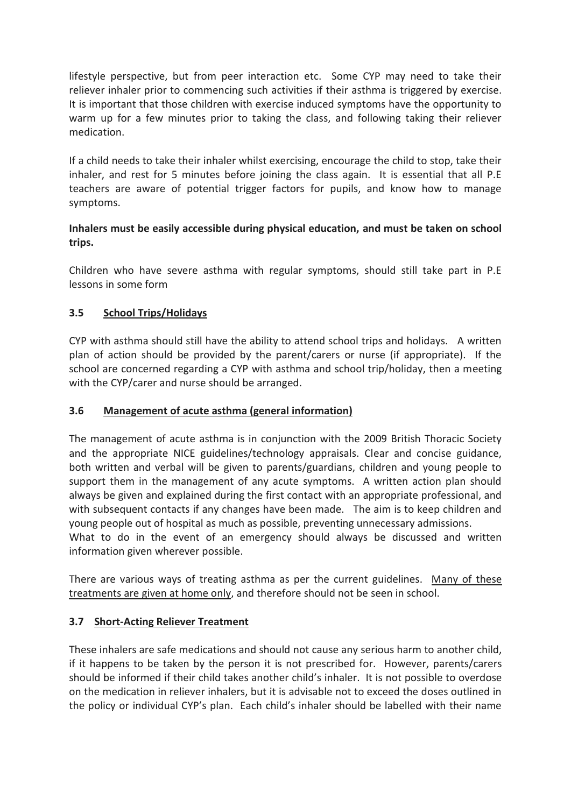lifestyle perspective, but from peer interaction etc. Some CYP may need to take their reliever inhaler prior to commencing such activities if their asthma is triggered by exercise. It is important that those children with exercise induced symptoms have the opportunity to warm up for a few minutes prior to taking the class, and following taking their reliever medication.

If a child needs to take their inhaler whilst exercising, encourage the child to stop, take their inhaler, and rest for 5 minutes before joining the class again. It is essential that all P.E teachers are aware of potential trigger factors for pupils, and know how to manage symptoms.

## **Inhalers must be easily accessible during physical education, and must be taken on school trips.**

Children who have severe asthma with regular symptoms, should still take part in P.E lessons in some form

# **3.5 School Trips/Holidays**

CYP with asthma should still have the ability to attend school trips and holidays. A written plan of action should be provided by the parent/carers or nurse (if appropriate). If the school are concerned regarding a CYP with asthma and school trip/holiday, then a meeting with the CYP/carer and nurse should be arranged.

## **3.6 Management of acute asthma (general information)**

The management of acute asthma is in conjunction with the 2009 British Thoracic Society and the appropriate NICE guidelines/technology appraisals. Clear and concise guidance, both written and verbal will be given to parents/guardians, children and young people to support them in the management of any acute symptoms. A written action plan should always be given and explained during the first contact with an appropriate professional, and with subsequent contacts if any changes have been made. The aim is to keep children and young people out of hospital as much as possible, preventing unnecessary admissions.

What to do in the event of an emergency should always be discussed and written information given wherever possible.

There are various ways of treating asthma as per the current guidelines. Many of these treatments are given at home only, and therefore should not be seen in school.

## **3.7 Short-Acting Reliever Treatment**

These inhalers are safe medications and should not cause any serious harm to another child, if it happens to be taken by the person it is not prescribed for. However, parents/carers should be informed if their child takes another child's inhaler. It is not possible to overdose on the medication in reliever inhalers, but it is advisable not to exceed the doses outlined in the policy or individual CYP's plan. Each child's inhaler should be labelled with their name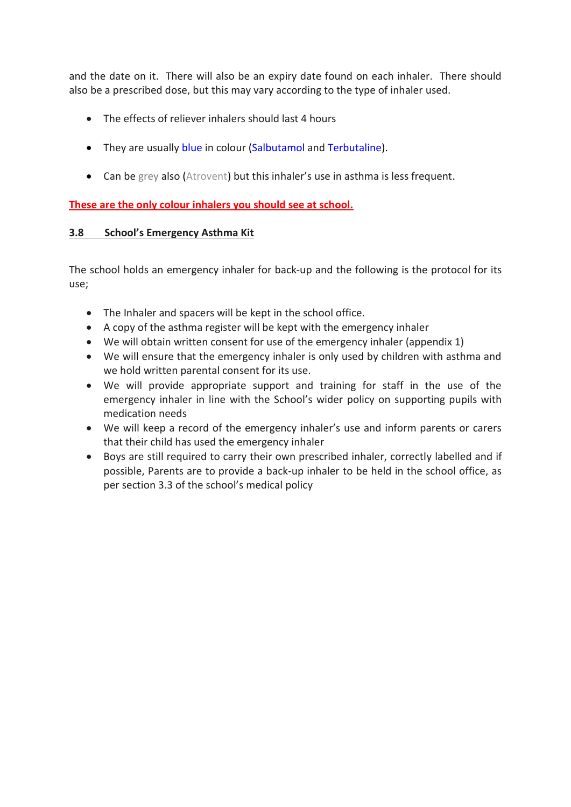and the date on it. There will also be an expiry date found on each inhaler. There should also be a prescribed dose, but this may vary according to the type of inhaler used.

- The effects of reliever inhalers should last 4 hours
- They are usually blue in colour (Salbutamol and Terbutaline).
- Can be grey also (Atrovent) but this inhaler's use in asthma is less frequent.

**These are the only colour inhalers you should see at school.**

## **3.8 School's Emergency Asthma Kit**

The school holds an emergency inhaler for back-up and the following is the protocol for its use;

- The Inhaler and spacers will be kept in the school office.
- A copy of the asthma register will be kept with the emergency inhaler
- We will obtain written consent for use of the emergency inhaler (appendix 1)
- We will ensure that the emergency inhaler is only used by children with asthma and we hold written parental consent for its use.
- We will provide appropriate support and training for staff in the use of the emergency inhaler in line with the School's wider policy on supporting pupils with medication needs
- We will keep a record of the emergency inhaler's use and inform parents or carers that their child has used the emergency inhaler
- Boys are still required to carry their own prescribed inhaler, correctly labelled and if possible, Parents are to provide a back-up inhaler to be held in the school office, as per section 3.3 of the school's medical policy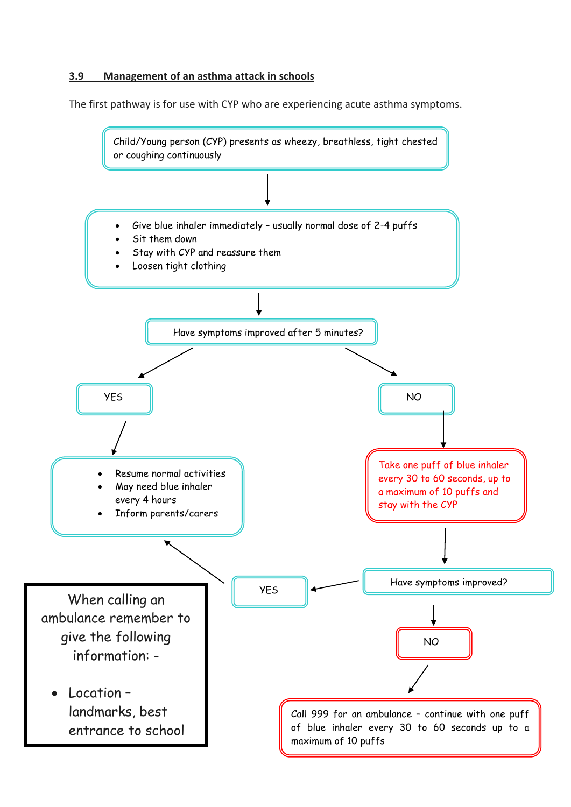## **3.9 Management of an asthma attack in schools**

The first pathway is for use with CYP who are experiencing acute asthma symptoms.

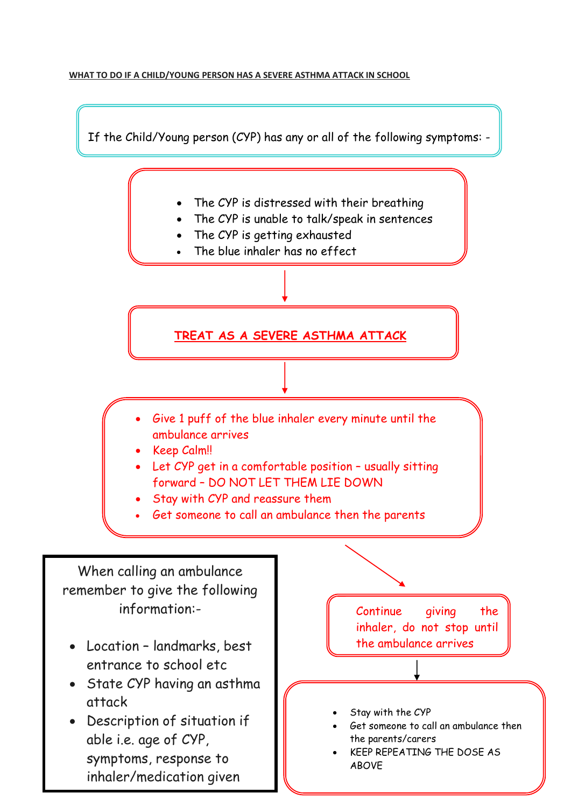#### **WHAT TO DO IF A CHILD/YOUNG PERSON HAS A SEVERE ASTHMA ATTACK IN SCHOOL**

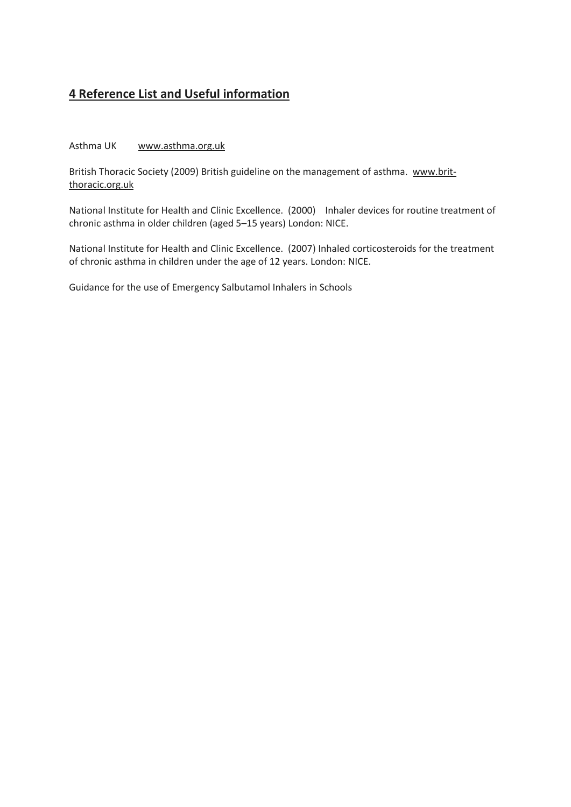# **4 Reference List and Useful information**

#### Asthma UK [www.asthma.org.uk](http://www.asthma.org.uk/)

British Thoracic Society (2009) British guideline on the management of asthma. [www.brit](http://www.brit-thoracic.org.uk/)[thoracic.org.uk](http://www.brit-thoracic.org.uk/)

National Institute for Health and Clinic Excellence. (2000) Inhaler devices for routine treatment of chronic asthma in older children (aged 5–15 years) London: NICE.

National Institute for Health and Clinic Excellence. (2007) Inhaled corticosteroids for the treatment of chronic asthma in children under the age of 12 years. London: NICE.

Guidance for the use of Emergency Salbutamol Inhalers in Schools